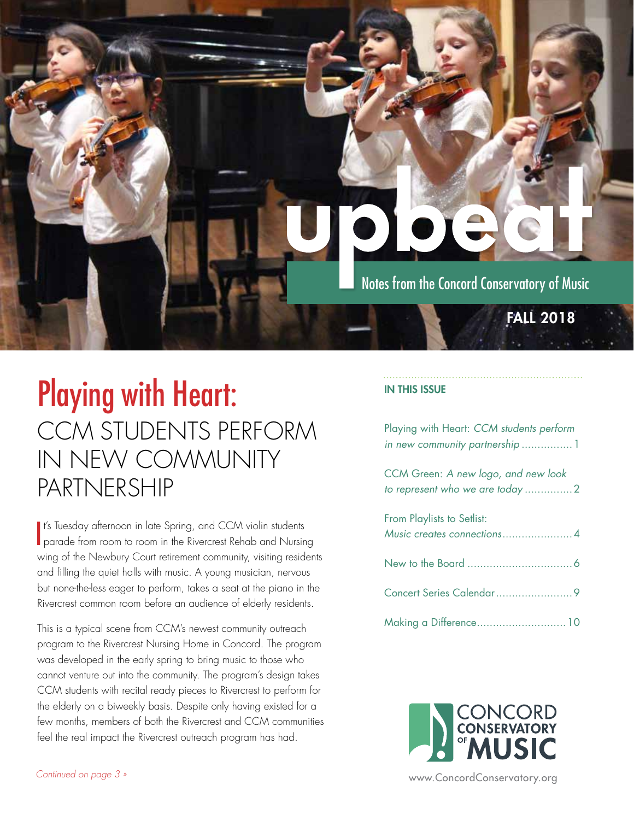

## Playing with Heart: CCM STUDENTS PERFORM IN NEW COMMUNITY PARTNERSHIP

It's Tuesday afternoon in late Spring, and CCM violin students<br>parade from room to room in the Rivercrest Rehab and Nursing It's Tuesday afternoon in late Spring, and CCM violin students wing of the Newbury Court retirement community, visiting residents and filling the quiet halls with music. A young musician, nervous but none-the-less eager to perform, takes a seat at the piano in the Rivercrest common room before an audience of elderly residents.

This is a typical scene from CCM's newest community outreach program to the Rivercrest Nursing Home in Concord. The program was developed in the early spring to bring music to those who cannot venture out into the community. The program's design takes CCM students with recital ready pieces to Rivercrest to perform for the elderly on a biweekly basis. Despite only having existed for a few months, members of both the Rivercrest and CCM communities feel the real impact the Rivercrest outreach program has had.

### IN THIS ISSUE

Playing with Heart: *CCM students perform in new community partnership* ................1

CCM Green: *A new logo, and new look to represent who we are today* ...............2

| From Playlists to Setlist: |
|----------------------------|
|                            |
|                            |
|                            |
| Making a Difference 10     |

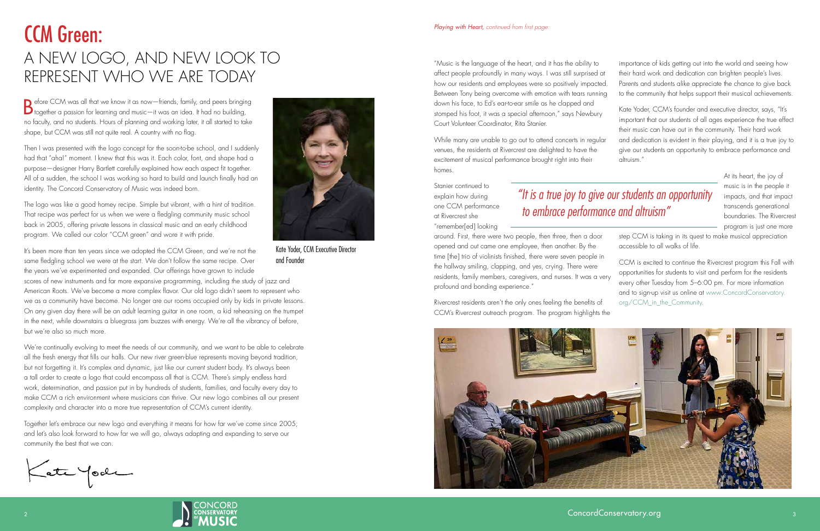around. First, there were two people, then three, then a door opened and out came one employee, then another. By the time [the] trio of violinists finished, there were seven people in step CCM is taking in its quest to make musical appreciation accessible to all walks of life. CCM is excited to continue the Rivercrest program this Fall with opportunities for students to visit and perform for the residents every other Tuesday from 5–6:00 pm. For more information and to sign-up visit us online at www.ConcordConservatory. org/CCM\_in\_the\_Community.

While many are unable to go out to attend concerts in regular venues, the residents at Rivercrest are delighted to have the excitement of musical performance brought right into their homes.

Stanier continued to explain how during one CCM performance at Rivercrest she "remember[ed] looking

"Music is the language of the heart, and it has the ability to affect people profoundly in many ways. I was still surprised at how our residents and employees were so positively impacted. Between Tony being overcome with emotion with tears running down his face, to Ed's ear-to-ear smile as he clapped and stomped his foot, it was a special afternoon," says Newbury Court Volunteer Coordinator, Rita Stanier. importance of kids getting out into the world and seeing how their hard work and dedication can brighten people's lives. Parents and students alike appreciate the chance to give back to the community that helps support their musical achievements. Kate Yoder, CCM's founder and executive director, says, "It's important that our students of all ages experience the true effect their music can have out in the community. Their hard work and dedication is evident in their playing, and it is a true joy to

the hallway smiling, clapping, and yes, crying. There were residents, family members, caregivers, and nurses. It was a very profound and bonding experience." Rivercrest residents aren't the only ones feeling the benefits of CCM's Rivercrest outreach program. The program highlights the





- 
- 

give our students an opportunity to embrace performance and altruism."

> At its heart, the joy of music is in the people it impacts, and that impact transcends generational boundaries. The Rivercrest program is just one more

Before CCM was all that we know it as now—friends, family, and peers bringing together a passion for learning and music—it was an idea. It had no building, no faculty, and no students. Hours of planning and working later, it all started to take shape, but CCM was still not quite real. A country with no flag.

Then I was presented with the logo concept for the soon-to-be school, and I suddenly had that "aha!" moment. I knew that this was it. Each color, font, and shape had a purpose—designer Harry Bartlett carefully explained how each aspect fit together. All of a sudden, the school I was working so hard to build and launch finally had an identity. The Concord Conservatory of Music was indeed born.

The logo was like a good homey recipe. Simple but vibrant, with a hint of tradition. That recipe was perfect for us when we were a fledgling community music school back in 2005, offering private lessons in classical music and an early childhood program. We called our color "CCM green" and wore it with pride.

It's been more than ten years since we adopted the CCM Green, and we're not the same fledgling school we were at the start. We don't follow the same recipe. Over the years we've experimented and expanded. Our offerings have grown to include

scores of new instruments and far more expansive programming, including the study of jazz and American Roots. We've become a more complex flavor. Our old logo didn't seem to represent who we as a community have become. No longer are our rooms occupied only by kids in private lessons. On any given day there will be an adult learning guitar in one room, a kid rehearsing on the trumpet in the next, while downstairs a bluegrass jam buzzes with energy. We're all the vibrancy of before, but we're also so much more.

We're continually evolving to meet the needs of our community, and we want to be able to celebrate all the fresh energy that fills our halls. Our new river green-blue represents moving beyond tradition, but not forgetting it. It's complex and dynamic, just like our current student body. It's always been a tall order to create a logo that could encompass all that is CCM. There's simply endless hard work, determination, and passion put in by hundreds of students, families, and faculty every day to make CCM a rich environment where musicians can thrive. Our new logo combines all our present complexity and character into a more true representation of CCM's current identity.

Together let's embrace our new logo and everything it means for how far we've come since 2005; and let's also look forward to how far we will go, always adapting and expanding to serve our community the best that we can.

Kate Yook



Kate Yoder, CCM Executive Director and Founder

## *"It is a true joy to give our students an opportunity to embrace performance and altruism"*

## CCM Green: A NEW LOGO, AND NEW LOOK TO REPRESENT WHO WE ARE TODAY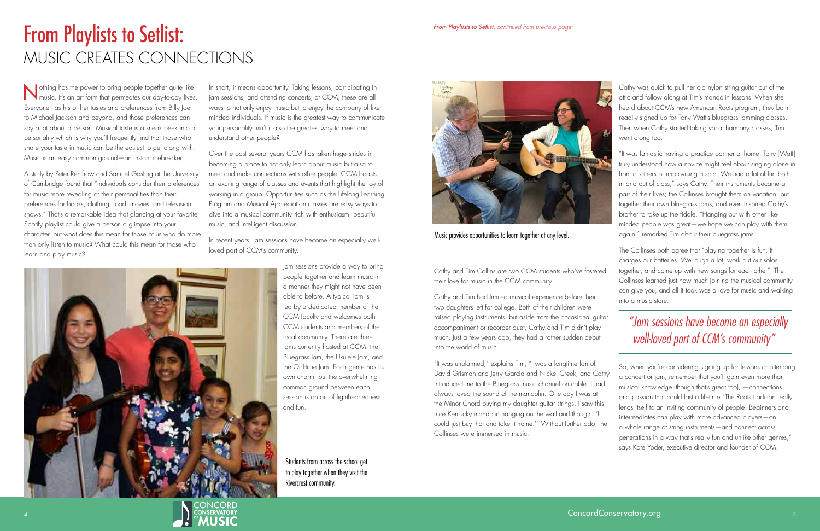Nothing has the power to bring people together quite like music. It's an art form that permeates our day-to-day lives. Everyone has his or her tastes and preferences from Billy Joel to Michael Jackson and beyond, and those preferences can say a lot about a person. Musical taste is a sneak peek into a personality which is why you'll frequently find that those who share your taste in music can be the easiest to get along with. Music is an easy common ground—an instant icebreaker.

A study by Peter Rentfrow and Samuel Gosling at the University of Cambridge found that "individuals consider their preferences for music more revealing of their personalities than their preferences for books, clothing, food, movies, and television shows." That's a remarkable idea that glancing at your favorite Spotify playlist could give a person a glimpse into your character, but what does this mean for those of us who do more than only listen to music? What could this mean for those who learn and play music?

In short, it means opportunity. Taking lessons, participating in jam sessions, and attending concerts; at CCM, these are all ways to not only enjoy music but to enjoy the company of likeminded individuals. If music is the greatest way to communicate your personality, isn't it also the greatest way to meet and understand other people?

Over the past several years CCM has taken huge strides in becoming a place to not only learn about music but also to meet and make connections with other people. CCM boasts an exciting range of classes and events that highlight the joy of working in a group. Opportunities such as the Lifelong Learning Program and Musical Appreciation classes are easy ways to dive into a musical community rich with enthusiasm, beautiful music, and intelligent discussion.

In recent years, jam sessions have become an especially wellloved part of CCM's community.

> Jam sessions provide a way to bring people together and learn music in a manner they might not have been able to before. A typical jam is led by a dedicated member of the CCM faculty and welcomes both CCM students and members of the local community. There are three jams currently hosted at CCM: the Bluegrass Jam, the Ukulele Jam, and the Old-time Jam. Each genre has its own charm, but the overwhelming common ground between each session is an air of lightheartedness and fun.

# From Playlists to Setlist: MUSIC CREATES CONNECTIONS

two daughters left for college. Both of their children were raised playing instruments, but aside from the occasional guitar accompaniment or recorder duet, Cathy and Tim didn't play much. Just a few years ago, they had a rather sudden debut into the world of music.

"It was unplanned," explains Tim, "I was a longtime fan of David Grisman and Jerry Garcia and Nickel Creek, and Cathy introduced me to the Bluegrass music channel on cable. I had always loved the sound of the mandolin. One day I was at the Minor Chord buying my daughter guitar strings. I saw this nice Kentucky mandolin hanging on the wall and thought, 'I could just buy that and take it home.'" Without further ado, the Collinses were immersed in music.





Cathy and Tim Collins are two CCM students who've fostered their love for music in the CCM community. Cathy and Tim had limited musical experience before their The Collinses both agree that "playing together is fun. It charges our batteries. We laugh a lot, work out our solos together, and come up with new songs for each other". The Collinses learned just how much joining the musical community can give you, and all it took was a love for music and walking into a music store.

Cathy was quick to pull her old nylon string guitar out of the attic and follow along at Tim's mandolin lessons. When she heard about CCM's new American Roots program, they both readily signed up for Tony Watt's bluegrass jamming classes. Then when Cathy started taking vocal harmony classes, Tim went along too.

"It was fantastic having a practice partner at home! Tony [Watt] truly understood how a novice might feel about singing alone in front of others or improvising a solo. We had a lot of fun both in and out of class," says Cathy. Their instruments became a part of their lives; the Collinses brought them on vacation, put together their own bluegrass jams, and even inspired Cathy's brother to take up the fiddle. "Hanging out with other likeminded people was great—we hope we can play with them again," remarked Tim about their bluegrass jams.

So, when you're considering signing up for lessons or attending a concert or jam, remember that you'll gain even more than musical knowledge (though that's great too), —connections and passion that could last a lifetime."The Roots tradition really lends itself to an inviting community of people. Beginners and intermediates can play with more advanced players—on a whole range of string instruments—and connect across generations in a way that's really fun and unlike other genres," says Kate Yoder, executive director and founder of CCM.

Music provides opportunities to learn together at any level.

Students from across the school get to play together when they visit the Rivercrest community.



*"Jam sessions have become an especially well-loved part of CCM's community"*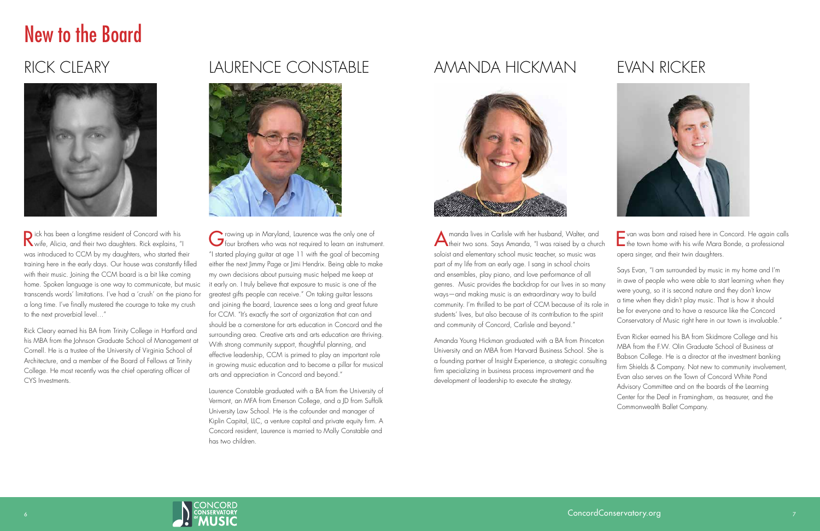# New to the Board

## RICK CLEARY



Rick has been a longtime resident of Concord with his wife, Alicia, and their two daughters. Rick explains, "I was introduced to CCM by my daughters, who started their training here in the early days. Our house was constantly filled with their music. Joining the CCM board is a bit like coming home. Spoken language is one way to communicate, but music transcends words' limitations. I've had a 'crush' on the piano for a long time. I've finally mustered the courage to take my crush to the next proverbial level…"

Rick Cleary earned his BA from Trinity College in Hartford and his MBA from the Johnson Graduate School of Management at Cornell. He is a trustee of the University of Virginia School of Architecture, and a member of the Board of Fellows at Trinity College. He most recently was the chief operating officer of CYS Investments.

Growing up in Maryland, Laurence was the only one of four brothers who was not required to learn an instrument. "I started playing guitar at age 11 with the goal of becoming either the next Jimmy Page or Jimi Hendrix. Being able to make my own decisions about pursuing music helped me keep at it early on. I truly believe that exposure to music is one of the greatest gifts people can receive." On taking guitar lessons and joining the board, Laurence sees a long and great future for CCM. "It's exactly the sort of organization that can and should be a cornerstone for arts education in Concord and the surrounding area. Creative arts and arts education are thriving. With strong community support, thoughtful planning, and effective leadership, CCM is primed to play an important role in growing music education and to become a pillar for musical arts and appreciation in Concord and beyond."

## LAURENCE CONSTABLE



Laurence Constable graduated with a BA from the University of Vermont, an MFA from Emerson College, and a JD from Suffolk University Law School. He is the cofounder and manager of Kiplin Capital, LLC, a venture capital and private equity firm. A Concord resident, Laurence is married to Molly Constable and has two children.

## AMANDA HICKMAN



Amanda lives in Carlisle with her husband, Walter, and their two sons. Says Amanda, "I was raised by a church soloist and elementary school music teacher, so music was part of my life from an early age. I sang in school choirs and ensembles, play piano, and love performance of all genres. Music provides the backdrop for our lives in so many ways—and making music is an extraordinary way to build community. I'm thrilled to be part of CCM because of its role in students' lives, but also because of its contribution to the spirit and community of Concord, Carlisle and beyond."

Amanda Young Hickman graduated with a BA from Princeton University and an MBA from Harvard Business School. She is a founding partner of Insight Experience, a strategic consulting firm specializing in business process improvement and the development of leadership to execute the strategy.



## EVAN RICKER



Evan was born and raised here in Concord. He again calls the town home with his wife Mara Bonde, a professional opera singer, and their twin daughters.

Says Evan, "I am surrounded by music in my home and I'm in awe of people who were able to start learning when they were young, so it is second nature and they don't know a time when they didn't play music. That is how it should be for everyone and to have a resource like the Concord Conservatory of Music right here in our town is invaluable."

Evan Ricker earned his BA from Skidmore College and his MBA from the F.W. Olin Graduate School of Business at Babson College. He is a director at the investment banking firm Shields & Company. Not new to community involvement, Evan also serves on the Town of Concord White Pond Advisory Committee and on the boards of the Learning Center for the Deaf in Framingham, as treasurer, and the Commonwealth Ballet Company.

ConcordConservatory.org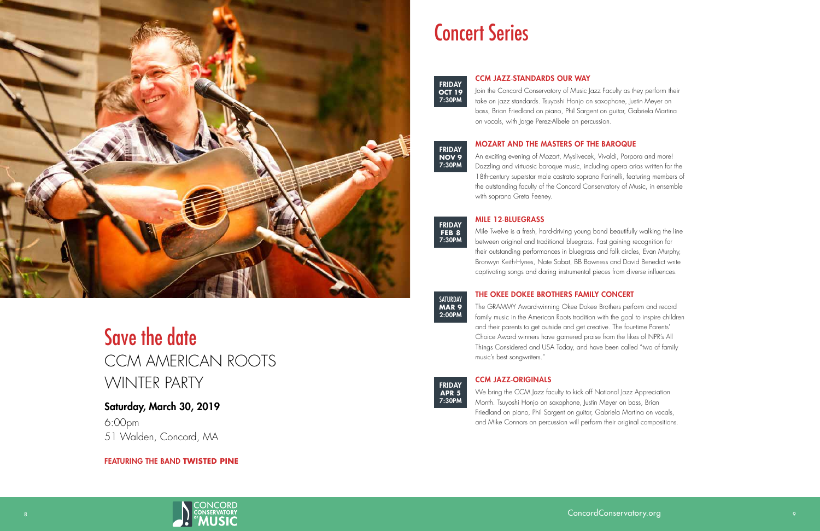

# Save the date CCM AMERICAN ROOTS WINTER PARTY

### Saturday, March 30, 2019

6:00pm 51 Walden, Concord, MA

FEATURING THE BAND **TWISTED PINE**

### CCM JAZZ -STANDARDS OUR WAY

Join the Concord Conservatory of Music Jazz Faculty as they perform their take on jazz standards. Tsuyoshi Honjo on saxophone, Justin Meyer on bass, Brian Friedland on piano, Phil Sargent on guitar, Gabriela Martina on vocals, with Jorge Perez-Albele on percussion.

### MOZART AND THE MASTERS OF THE BAROQUE

An exciting evening of Mozart, Myslivecek, Vivaldi, Porpora and more! Dazzling and virtuosic baroque music, including opera arias written for the 18th-century superstar male castrato soprano Farinelli, featuring members of the outstanding faculty of the Concord Conservatory of Music, in ensemble with soprano Greta Feeney.

### MILE 12 -BLUEGRASS

Mile Twelve is a fresh, hard-driving young band beautifully walking the line between original and traditional bluegrass. Fast gaining recognition for their outstanding performances in bluegrass and folk circles, Evan Murphy, Bronwyn Keith-Hynes, Nate Sabat, BB Bowness and David Benedict write captivating songs and daring instrumental pieces from diverse influences.

### THE OKEE DOKEE BROTHERS FAMILY CONCERT

The GRAMMY Award-winning Okee Dokee Brothers perform and record family music in the American Roots tradition with the goal to inspire children and their parents to get outside and get creative. The four-time Parents' Choice Award winners have garnered praise from the likes of NPR's All Things Considered and USA Today, and have been called "two of family music's best songwriters."

### CCM JAZZ -ORIGINALS

We bring the CCM Jazz faculty to kick off National Jazz Appreciation Month. Tsuyoshi Honjo on saxophone, Justin Meyer on bass, Brian Friedland on piano, Phil Sargent on guitar, Gabriela Martina on vocals, and Mike Connors on percussion will perform their original compositions.







FRIDAY **FEB 8** 7:30PM

SATURDAY **MAR 9** 2:00PM



# Concert Series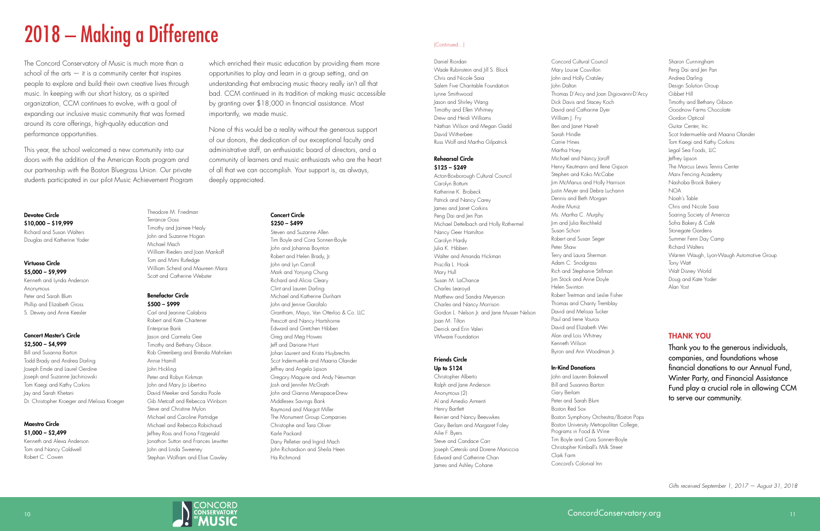

Daniel Riordan Wade Rubinstein and Iill S. Block Chris and Nicole Saia Salem Five Charitable Foundation Lynne Smithwood Jason and Shirley Wang Timothy and Ellen Whitney Drew and Heidi Williams Nathan Wilson and Megan Gadd David Witherbee Russ Wolf and Martha Gilpatrick

### Rehearsal Circle \$125 – \$249

Acton-Boxborough Cultural Council Carolyn Bottum Katherine K. Brobeck Patrick and Nancy Carey James and Janet Corkins Peng Dai and Jen Pan Michael Dettelbach and Holly Rothermel Nancy Geer Hamilton Carolyn Hardy Julia K. Hibben Walter and Amanda Hickman Priscilla L. Hook Mary Hull Susan M. LaChance Charles Learoyd Matthew and Sandra Meyerson Charles and Nancy Morrison Gordon L. Nelson Jr. and Jane Musser Nelson Joan M. Tilton Derrick and Erin Valeri VMware Foundation

### Friends Circle Up to \$124

Christopher Alberto Ralph and Jane Anderson Anonymous (2) Al and Amedio Armenti Henry Bartlett Reinier and Nancy Beeuwkes Gary Berlam and Margaret Foley Ailie F. Byers Steve and Candace Carr Joseph Ceterski and Dorene Maniccia Edward and Catherine Chan James and Ashley Cohane

Concord Cultural Council Mary Louise Couvillon John and Holly Cratsley John Dalton Thomas D'Arcy and Joan Digiovanni-D'Arcy Dick Davis and Stacey Koch David and Catharine Dyer William J. Fry Ben and Janet Hanelt Sarah Hindle Carrie Hines Martha Hoey Michael and Nancy Joroff Henry Keutmann and Ilene Gipson Stephen and Koko McCabe Jim McManus and Holly Harrison Justin Meyer and Debra Luchanin Dennis and Beth Morgan Andre Muniz Ms. Martha C. Murphy Jim and Julia Reichheld Susan Schorr Robert and Susan Seger Peter Shaw Terry and Laura Sherman Adam C. Snodgrass Rich and Stephanie Stillman Jim Stock and Anne Doyle Helen Swinton Robert Treitman and Leslie Fisher Thomas and Charity Tremblay David and Melissa Tucker Paul and Irene Vouros David and Elizabeth Wei Alan and Lois Whitney Kenneth Wilson Byron and Ann Woodman Jr.

### In-Kind Donations

John and Lauren Bakewell Bill and Susanna Barton Gary Berlam Peter and Sarah Blum Boston Red Sox Boston Symphony Orchestra/Boston Pops Boston University Metropolitan College, Programs in Food & Wine Tim Boyle and Cora Sonnen-Boyle Christopher Kimball's Milk Street Clark Farm Concord's Colonial Inn

Sharon Cunningham Peng Dai and Jen Pan Andrea Darling Design Solution Group Gibbet Hill Timothy and Bethany Gibson Goodnow Farms Chocolate Gordon Optical Guitar Center, Inc. Scot Indermuehle and Maaria Olander Tom Kaegi and Kathy Corkins Legal Sea Foods, LLC Jeffrey Lipson The Marcus Lewis Tennis Center Marx Fencing Academy Nashoba Brook Bakery NOA Noah's Table Chris and Nicole Saia Soaring Society of America Sofra Bakery & Café Stonegate Gardens Summer Fenn Day Camp Richard Walters Warren Waugh, Lyon-Waugh Automotive Group Tony Watt Walt Disney World Doug and Kate Yoder Alan Yost

### (Continued...)

### Devotee Circle \$10,000 – \$19,999 Richard and Susan Walters Douglas and Katherine Yoder

### Virtuoso Circle \$5,000 – \$9,999

Kenneth and Lynda Anderson Anonymous Peter and Sarah Blum Phillip and Elizabeth Gross S. Dewey and Anne Keesler

### Concert Master's Circle \$2,500 – \$4,999

Bill and Susanna Barton Todd Brady and Andrea Darling Joseph Emde and Laurel Gerdine Joseph and Suzanne Jachinowski Tom Kaegi and Kathy Corkins Jay and Sarah Khetani Dr. Christopher Kroeger and Melissa Kroeger

### Maestro Circle \$1,000 – \$2,499

Kenneth and Alexa Anderson Tom and Nancy Caldwell Robert C. Cowen

Terrance Goss

## Theodore M. Friedman Timothy and Jaimee Healy John and Suzanne Hogan

Michael Mach William Rieders and Joan Mankoff Tom and Mimi Rutledge William Scheid and Maureen Mara Scott and Catherine Webster

### Benefactor Circle \$500 – \$999

Carl and Jeanine Calabria Robert and Kate Chartener Enterprise Bank Jason and Carmela Gee Timothy and Bethany Gibson Rob Greenberg and Brenda Mahnken Annie Hamill John Hickling Peter and Robyn Kirkman John and Mary Jo Libertino David Meeker and Sandra Poole Gib Metcalf and Rebecca Winborn Steve and Christine Mylon Michael and Caroline Partridge Michael and Rebecca Robichaud Jeffrey Ross and Fiona Fitzgerald Jonathon Sutton and Frances Lewitter John and Linda Sweeney Stephan Wolfram and Elise Cawley

Concert Circle

\$250 – \$499 Steven and Suzanne Allen Tim Boyle and Cora Sonnen-Boyle John and Johanna Boynton Robert and Helen Brady, Jr. John and Lyn Carroll Mark and Yonjung Chung Richard and Alicia Cleary Clint and Lauren Darling Michael and Katherine Dunham John and Jennie Garofalo Grantham, Mayo, Van Otterloo & Co. LLC Prescott and Nancy Hartshorne Edward and Gretchen Hibben Greg and Meg Howes Jeff and Dariane Hunt Johan Laurent and Krista Huybrechts Scot Indermuehle and Maaria Olander Jeffrey and Angela Lipson Gregory Maguire and Andy Newman Josh and Jennifer McGrath John and Gianna Menapace-Drew Middlesex Savings Bank Raymond and Margot Miller The Monument Group Companies Christophe and Tara Oliver Karle Packard Dany Pelletier and Ingrid Mach John Richardson and Sheila Heen Ha Richmond

# 2018 – Making a Difference

The Concord Conservatory of Music is much more than a school of the arts  $-$  it is a community center that inspires people to explore and build their own creative lives through music. In keeping with our short history, as a spirited organization, CCM continues to evolve, with a goal of expanding our inclusive music community that was formed around its core offerings, high-quality education and performance opportunities.

This year, the school welcomed a new community into our doors with the addition of the American Roots program and our partnership with the Boston Bluegrass Union. Our private students participated in our pilot Music Achievement Program

which enriched their music education by providing them more opportunities to play and learn in a group setting, and an understanding that embracing music theory really isn't all that bad. CCM continued in its tradition of making music accessible by granting over \$18,000 in financial assistance. Most importantly, we made music.

None of this would be a reality without the generous support of our donors, the dedication of our exceptional faculty and administrative staff, an enthusiastic board of directors, and a community of learners and music enthusiasts who are the heart of all that we can accomplish. Your support is, as always, deeply appreciated.

### THANK YOU

Thank you to the generous individuals, companies, and foundations whose financial donations to our Annual Fund, Winter Party, and Financial Assistance Fund play a crucial role in allowing CCM to serve our community.